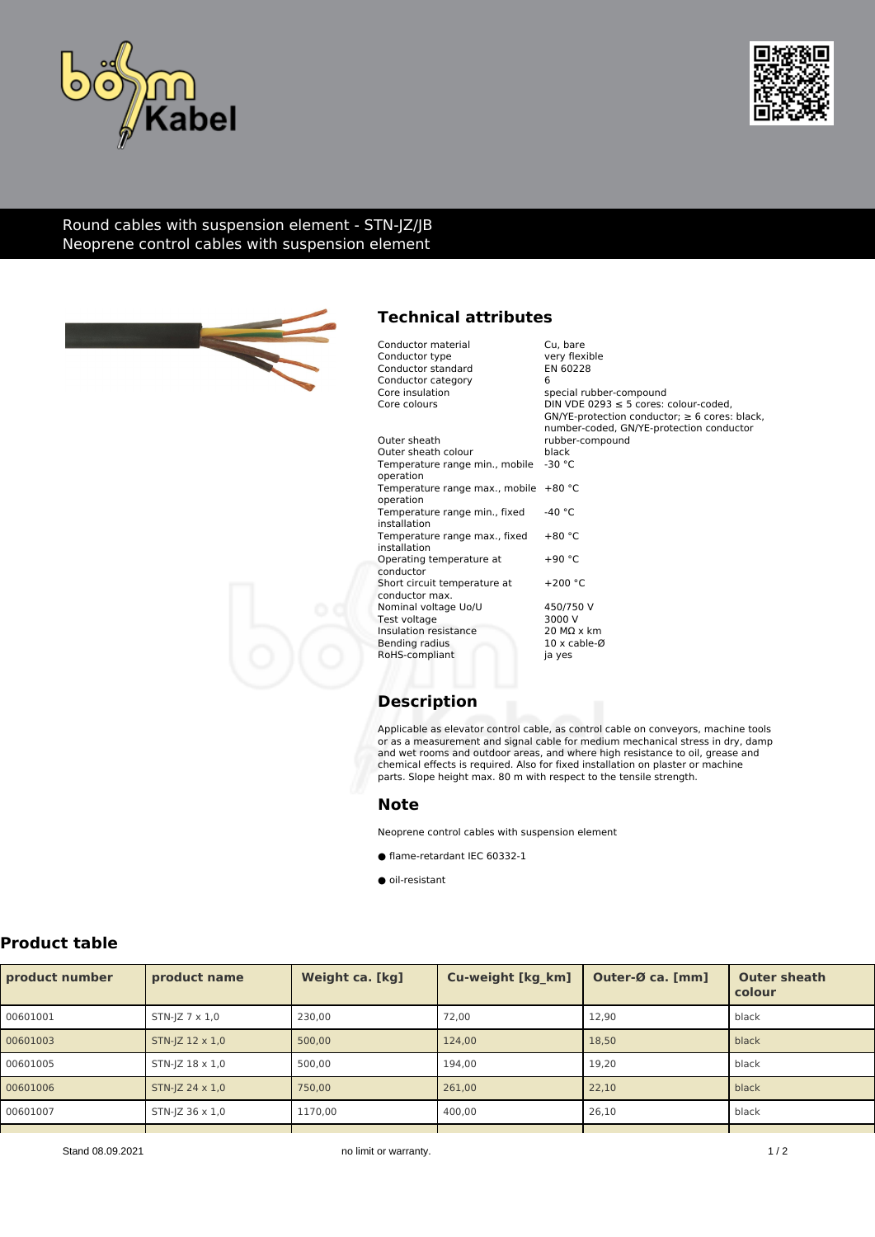



### Round cables with suspension element - STN-JZ/JB Neoprene control cables with suspension element



# **Technical attributes**

| Conductor material<br>Conductor type<br>Conductor standard<br>Conductor category<br>Core insulation<br>Core colours | Cu. bare<br>very flexible<br>EN 60228<br>6<br>special rubber-compound<br>DIN VDE 0293 $\leq$ 5 cores: colour-coded,<br>$GN/YE$ -protection conductor; $\geq 6$ cores: black,<br>number-coded, GN/YE-protection conductor |
|---------------------------------------------------------------------------------------------------------------------|--------------------------------------------------------------------------------------------------------------------------------------------------------------------------------------------------------------------------|
| Outer sheath                                                                                                        | rubber-compound                                                                                                                                                                                                          |
| Outer sheath colour                                                                                                 | black                                                                                                                                                                                                                    |
| Temperature range min., mobile<br>operation                                                                         | $-30 °C$                                                                                                                                                                                                                 |
| Temperature range max., mobile<br>operation                                                                         | $+80 °C$                                                                                                                                                                                                                 |
| Temperature range min., fixed<br>installation                                                                       | $-40 °C$                                                                                                                                                                                                                 |
| Temperature range max., fixed<br>installation                                                                       | $+80 °C$                                                                                                                                                                                                                 |
| Operating temperature at<br>conductor                                                                               | $+90 °C$                                                                                                                                                                                                                 |
| Short circuit temperature at<br>conductor max.                                                                      | $+200 °C$                                                                                                                                                                                                                |
| Nominal voltage Uo/U                                                                                                | 450/750 V                                                                                                                                                                                                                |
| Test voltage                                                                                                        | 3000 V                                                                                                                                                                                                                   |
| Insulation resistance                                                                                               | $20 \text{ M}\Omega$ x km                                                                                                                                                                                                |
| Bending radius                                                                                                      | $10 \times$ cable- $\emptyset$                                                                                                                                                                                           |
| RoHS-compliant                                                                                                      | ja yes                                                                                                                                                                                                                   |

## **Description**

Applicable as elevator control cable, as control cable on conveyors, machine tools or as a measurement and signal cable for medium mechanical stress in dry, damp and wet rooms and outdoor areas, and where high resistance to oil, grease and chemical effects is required. Also for fixed installation on plaster or machine parts. Slope height max. 80 m with respect to the tensile strength.

#### **Note**

Neoprene control cables with suspension element

- flame-retardant IEC 60332-1
- oil-resistant

## **Product table**

| product number | product name               | Weight ca. [kg] | Cu-weight [kg_km] | Outer-Ø ca. [mm] | <b>Outer sheath</b><br>colour |  |
|----------------|----------------------------|-----------------|-------------------|------------------|-------------------------------|--|
| 00601001       | STN-JZ $7 \times 1.0$      | 230.00          | 72,00             | 12,90            | black                         |  |
| 00601003       | $STN$ - $ Z 12 \times 1.0$ | 500.00          | 124,00            | 18,50            | black                         |  |
| 00601005       | $STN$ - $ Z 18 \times 1.0$ | 500.00          | 194,00            | 19.20            | black                         |  |
| 00601006       | $STN$ - $ Z 24 \times 1.0$ | 750.00          | 261,00            | 22.10            | black                         |  |
| 00601007       | $STN$ -JZ 36 $\times$ 1,0  | 1170,00         | 400,00            | 26.10            | black                         |  |
|                |                            |                 |                   |                  |                               |  |